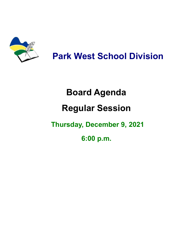

**Park West School Division**

# **Board Agenda**

## **Regular Session**

### **Thursday, December 9, 2021**

**6:00 p.m.**